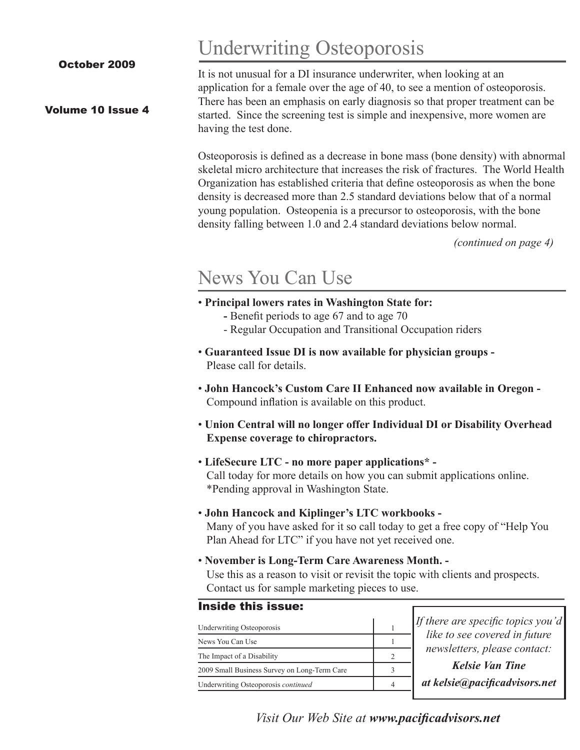October 2009

### Volume 10 Issue 4

Underwriting Osteoporosis

It is not unusual for a DI insurance underwriter, when looking at an application for a female over the age of 40, to see a mention of osteoporosis. There has been an emphasis on early diagnosis so that proper treatment can be started. Since the screening test is simple and inexpensive, more women are having the test done.

Osteoporosis is defined as a decrease in bone mass (bone density) with abnormal skeletal micro architecture that increases the risk of fractures. The World Health Organization has established criteria that define osteoporosis as when the bone density is decreased more than 2.5 standard deviations below that of a normal young population. Osteopenia is a precursor to osteoporosis, with the bone density falling between 1.0 and 2.4 standard deviations below normal.

*(continued on page 4)*

### News You Can Use

- **Principal lowers rates in Washington State for:**
	- Benefit periods to age 67 and to age 70
	- Regular Occupation and Transitional Occupation riders
- **Guaranteed Issue DI is now available for physician groups -** Please call for details.
- **John Hancock's Custom Care II Enhanced now available in Oregon -** Compound inflation is available on this product.
- **Union Central will no longer offer Individual DI or Disability Overhead Expense coverage to chiropractors.**
- **LifeSecure LTC no more paper applications\* -** Call today for more details on how you can submit applications online. \*Pending approval in Washington State.

#### • **John Hancock and Kiplinger's LTC workbooks -**

Many of you have asked for it so call today to get a free copy of "Help You Plan Ahead for LTC" if you have not yet received one.

• **November is Long-Term Care Awareness Month. -**

Use this as a reason to visit or revisit the topic with clients and prospects. Contact us for sample marketing pieces to use.

#### Inside this issue:

| <b>Underwriting Osteoporosis</b>             |  |
|----------------------------------------------|--|
| News You Can Use                             |  |
| The Impact of a Disability                   |  |
| 2009 Small Business Survey on Long-Term Care |  |
| Underwriting Osteoporosis continued          |  |

*If there are specific topics you'd like to see covered in future newsletters, please contact:*

*Kelsie Van Tine at kelsie@pacificadvisors.net*

*Visit Our Web Site at www.pacificadvisors.net*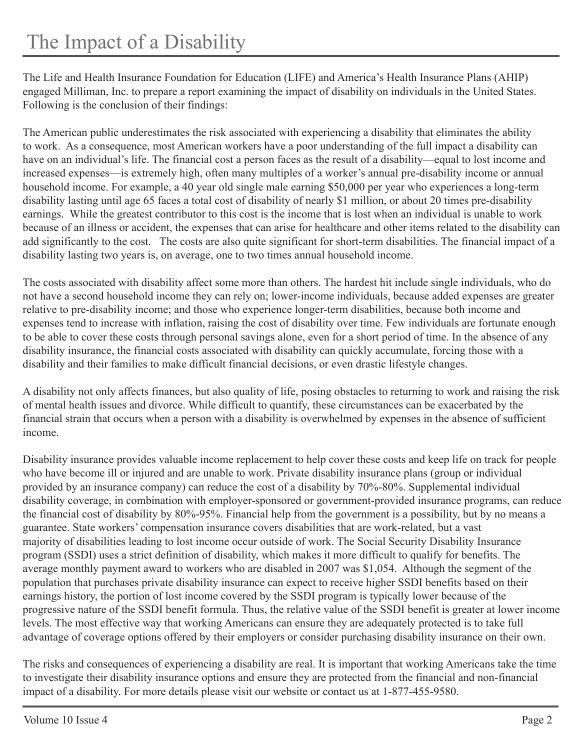The Life and Health Insurance Foundation for Education (LIFE) and America's Health Insurance Plans (AHIP) engaged Milliman, Inc. to prepare a report examining the impact of disability on individuals in the United States. Following is the conclusion of their findings:

The American public underestimates the risk associated with experiencing a disability that eliminates the ability to work. As a consequence, most American workers have a poor understanding of the full impact a disability can have on an individual's life. The financial cost a person faces as the result of a disability—equal to lost income and increased expenses—is extremely high, often many multiples of a worker's annual pre-disability income or annual household income. For example, a 40 year old single male earning \$50,000 per year who experiences a long-term disability lasting until age 65 faces a total cost of disability of nearly \$1 million, or about 20 times pre-disability earnings. While the greatest contributor to this cost is the income that is lost when an individual is unable to work because of an illness or accident, the expenses that can arise for healthcare and other items related to the disability can add significantly to the cost. The costs are also quite significant for short-term disabilities. The financial impact of a disability lasting two years is, on average, one to two times annual household income.

The costs associated with disability affect some more than others. The hardest hit include single individuals, who do not have a second household income they can rely on; lower-income individuals, because added expenses are greater relative to pre-disability income; and those who experience longer-term disabilities, because both income and expenses tend to increase with inflation, raising the cost of disability over time. Few individuals are fortunate enough to be able to cover these costs through personal savings alone, even for a short period of time. In the absence of any disability insurance, the financial costs associated with disability can quickly accumulate, forcing those with a disability and their families to make difficult financial decisions, or even drastic lifestyle changes.

A disability not only affects finances, but also quality of life, posing obstacles to returning to work and raising the risk of mental health issues and divorce. While difficult to quantify, these circumstances can be exacerbated by the financial strain that occurs when a person with a disability is overwhelmed by expenses in the absence of sufficient income.

Disability insurance provides valuable income replacement to help cover these costs and keep life on track for people who have become ill or injured and are unable to work. Private disability insurance plans (group or individual provided by an insurance company) can reduce the cost of a disability by 70%-80%. Supplemental individual disability coverage, in combination with employer-sponsored or government-provided insurance programs, can reduce the financial cost of disability by 80%-95%. Financial help from the government is a possibility, but by no means a guarantee. State workers' compensation insurance covers disabilities that are work-related, but a vast majority of disabilities leading to lost income occur outside of work. The Social Security Disability Insurance program (SSDI) uses a strict definition of disability, which makes it more difficult to qualify for benefits. The average monthly payment award to workers who are disabled in 2007 was \$1,054. Although the segment of the population that purchases private disability insurance can expect to receive higher SSDI benefits based on their earnings history, the portion of lost income covered by the SSDI program is typically lower because of the progressive nature of the SSDI benefit formula. Thus, the relative value of the SSDI benefit is greater at lower income levels. The most effective way that working Americans can ensure they are adequately protected is to take full advantage of coverage options offered by their employers or consider purchasing disability insurance on their own.

The risks and consequences of experiencing a disability are real. It is important that working Americans take the time to investigate their disability insurance options and ensure they are protected from the financial and non-financial impact of a disability. For more details please visit our website or contact us at 1-877-455-9580.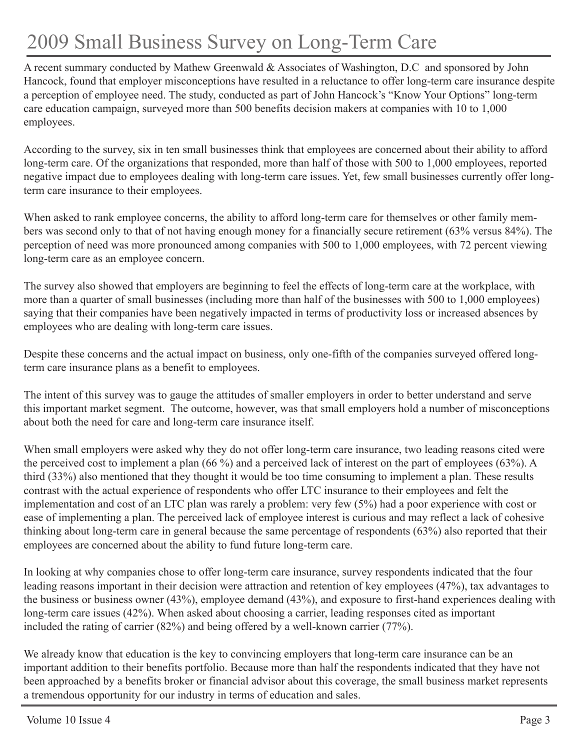# 2009 Small Business Survey on Long-Term Care

A recent summary conducted by Mathew Greenwald & Associates of Washington, D.C and sponsored by John Hancock, found that employer misconceptions have resulted in a reluctance to offer long-term care insurance despite a perception of employee need. The study, conducted as part of John Hancock's "Know Your Options" long-term care education campaign, surveyed more than 500 benefits decision makers at companies with 10 to 1,000 employees.

According to the survey, six in ten small businesses think that employees are concerned about their ability to afford long-term care. Of the organizations that responded, more than half of those with 500 to 1,000 employees, reported negative impact due to employees dealing with long-term care issues. Yet, few small businesses currently offer longterm care insurance to their employees.

When asked to rank employee concerns, the ability to afford long-term care for themselves or other family members was second only to that of not having enough money for a financially secure retirement (63% versus 84%). The perception of need was more pronounced among companies with 500 to 1,000 employees, with 72 percent viewing long-term care as an employee concern.

The survey also showed that employers are beginning to feel the effects of long-term care at the workplace, with more than a quarter of small businesses (including more than half of the businesses with 500 to 1,000 employees) saying that their companies have been negatively impacted in terms of productivity loss or increased absences by employees who are dealing with long-term care issues.

Despite these concerns and the actual impact on business, only one-fifth of the companies surveyed offered longterm care insurance plans as a benefit to employees.

The intent of this survey was to gauge the attitudes of smaller employers in order to better understand and serve this important market segment. The outcome, however, was that small employers hold a number of misconceptions about both the need for care and long-term care insurance itself.

When small employers were asked why they do not offer long-term care insurance, two leading reasons cited were the perceived cost to implement a plan (66 %) and a perceived lack of interest on the part of employees (63%). A third (33%) also mentioned that they thought it would be too time consuming to implement a plan. These results contrast with the actual experience of respondents who offer LTC insurance to their employees and felt the implementation and cost of an LTC plan was rarely a problem: very few (5%) had a poor experience with cost or ease of implementing a plan. The perceived lack of employee interest is curious and may reflect a lack of cohesive thinking about long-term care in general because the same percentage of respondents (63%) also reported that their employees are concerned about the ability to fund future long-term care.

In looking at why companies chose to offer long-term care insurance, survey respondents indicated that the four leading reasons important in their decision were attraction and retention of key employees (47%), tax advantages to the business or business owner (43%), employee demand (43%), and exposure to first-hand experiences dealing with long-term care issues (42%). When asked about choosing a carrier, leading responses cited as important included the rating of carrier (82%) and being offered by a well-known carrier (77%).

We already know that education is the key to convincing employers that long-term care insurance can be an important addition to their benefits portfolio. Because more than half the respondents indicated that they have not been approached by a benefits broker or financial advisor about this coverage, the small business market represents a tremendous opportunity for our industry in terms of education and sales.